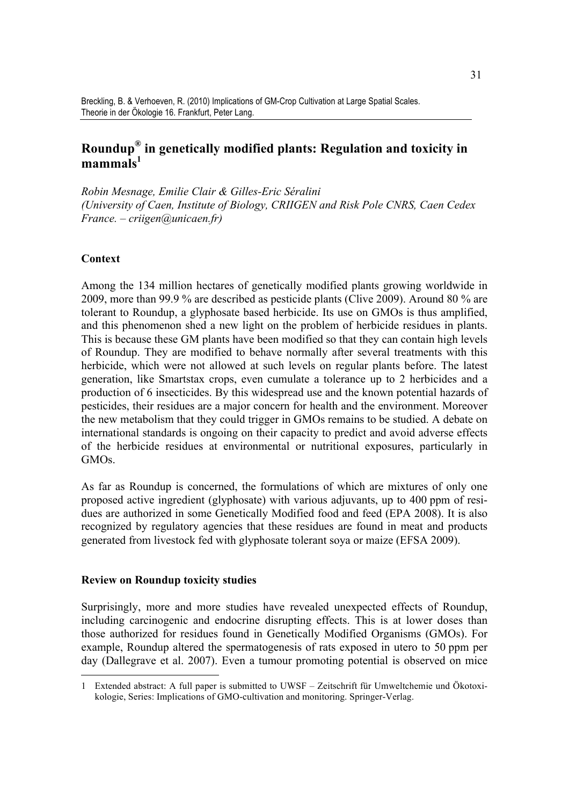# **Roundup® in genetically modified plants: Regulation and toxicity in mammals<sup>1</sup>**

*Robin Mesnage, Emilie Clair & Gilles-Eric Séralini (University of Caen, Institute of Biology, CRIIGEN and Risk Pole CNRS, Caen Cedex France. – criigen@unicaen.fr)*

## **Context**

Among the 134 million hectares of genetically modified plants growing worldwide in 2009, more than 99.9 % are described as pesticide plants (Clive 2009). Around 80 % are tolerant to Roundup, a glyphosate based herbicide. Its use on GMOs is thus amplified, and this phenomenon shed a new light on the problem of herbicide residues in plants. This is because these GM plants have been modified so that they can contain high levels of Roundup. They are modified to behave normally after several treatments with this herbicide, which were not allowed at such levels on regular plants before. The latest generation, like Smartstax crops, even cumulate a tolerance up to 2 herbicides and a production of 6 insecticides. By this widespread use and the known potential hazards of pesticides, their residues are a major concern for health and the environment. Moreover the new metabolism that they could trigger in GMOs remains to be studied. A debate on international standards is ongoing on their capacity to predict and avoid adverse effects of the herbicide residues at environmental or nutritional exposures, particularly in GMOs.

As far as Roundup is concerned, the formulations of which are mixtures of only one proposed active ingredient (glyphosate) with various adjuvants, up to 400 ppm of residues are authorized in some Genetically Modified food and feed (EPA 2008). It is also recognized by regulatory agencies that these residues are found in meat and products generated from livestock fed with glyphosate tolerant soya or maize (EFSA 2009).

### **Review on Roundup toxicity studies**

Surprisingly, more and more studies have revealed unexpected effects of Roundup, including carcinogenic and endocrine disrupting effects. This is at lower doses than those authorized for residues found in Genetically Modified Organisms (GMOs). For example, Roundup altered the spermatogenesis of rats exposed in utero to 50 ppm per day (Dallegrave et al. 2007). Even a tumour promoting potential is observed on mice

 <sup>1</sup> Extended abstract: A full paper is submitted to UWSF – Zeitschrift für Umweltchemie und Ökotoxikologie, Series: Implications of GMO-cultivation and monitoring. Springer-Verlag.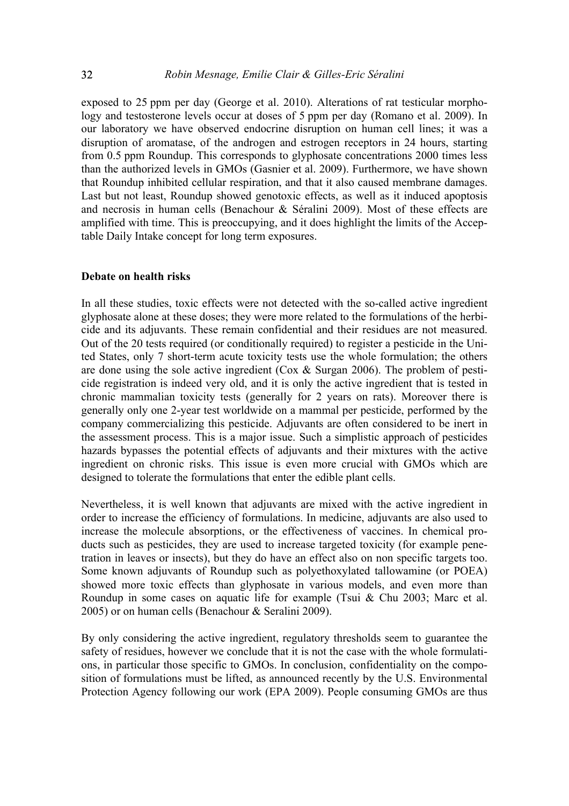exposed to 25 ppm per day (George et al. 2010). Alterations of rat testicular morphology and testosterone levels occur at doses of 5 ppm per day (Romano et al. 2009). In our laboratory we have observed endocrine disruption on human cell lines; it was a disruption of aromatase, of the androgen and estrogen receptors in 24 hours, starting from 0.5 ppm Roundup. This corresponds to glyphosate concentrations 2000 times less than the authorized levels in GMOs (Gasnier et al. 2009). Furthermore, we have shown that Roundup inhibited cellular respiration, and that it also caused membrane damages. Last but not least, Roundup showed genotoxic effects, as well as it induced apoptosis and necrosis in human cells (Benachour & Séralini 2009). Most of these effects are amplified with time. This is preoccupying, and it does highlight the limits of the Acceptable Daily Intake concept for long term exposures.

#### **Debate on health risks**

In all these studies, toxic effects were not detected with the so-called active ingredient glyphosate alone at these doses; they were more related to the formulations of the herbicide and its adjuvants. These remain confidential and their residues are not measured. Out of the 20 tests required (or conditionally required) to register a pesticide in the United States, only 7 short-term acute toxicity tests use the whole formulation; the others are done using the sole active ingredient (Cox & Surgan 2006). The problem of pesticide registration is indeed very old, and it is only the active ingredient that is tested in chronic mammalian toxicity tests (generally for 2 years on rats). Moreover there is generally only one 2-year test worldwide on a mammal per pesticide, performed by the company commercializing this pesticide. Adjuvants are often considered to be inert in the assessment process. This is a major issue. Such a simplistic approach of pesticides hazards bypasses the potential effects of adjuvants and their mixtures with the active ingredient on chronic risks. This issue is even more crucial with GMOs which are designed to tolerate the formulations that enter the edible plant cells.

Nevertheless, it is well known that adjuvants are mixed with the active ingredient in order to increase the efficiency of formulations. In medicine, adjuvants are also used to increase the molecule absorptions, or the effectiveness of vaccines. In chemical products such as pesticides, they are used to increase targeted toxicity (for example penetration in leaves or insects), but they do have an effect also on non specific targets too. Some known adjuvants of Roundup such as polyethoxylated tallowamine (or POEA) showed more toxic effects than glyphosate in various models, and even more than Roundup in some cases on aquatic life for example (Tsui & Chu 2003; Marc et al. 2005) or on human cells (Benachour & Seralini 2009).

By only considering the active ingredient, regulatory thresholds seem to guarantee the safety of residues, however we conclude that it is not the case with the whole formulations, in particular those specific to GMOs. In conclusion, confidentiality on the composition of formulations must be lifted, as announced recently by the U.S. Environmental Protection Agency following our work (EPA 2009). People consuming GMOs are thus